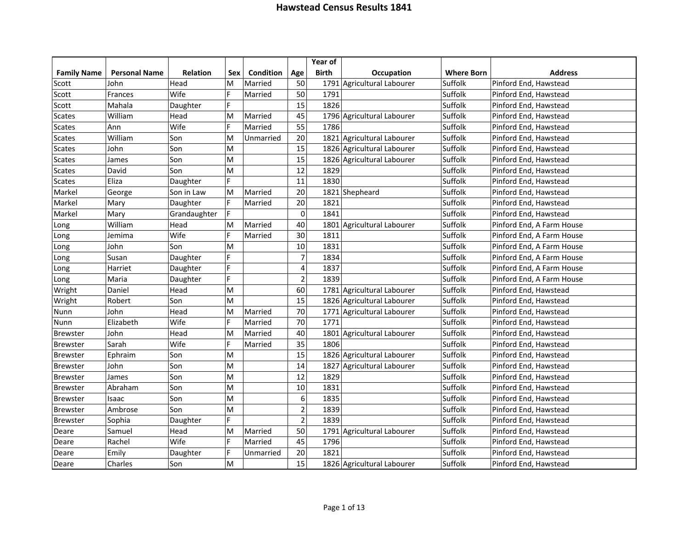|                    |                      |                 |                                                                                       |                  |                         | Year of      |                            |                   |                           |
|--------------------|----------------------|-----------------|---------------------------------------------------------------------------------------|------------------|-------------------------|--------------|----------------------------|-------------------|---------------------------|
| <b>Family Name</b> | <b>Personal Name</b> | <b>Relation</b> | Sex                                                                                   | <b>Condition</b> | Age                     | <b>Birth</b> | <b>Occupation</b>          | <b>Where Born</b> | <b>Address</b>            |
| Scott              | John                 | Head            | м                                                                                     | Married          | 50                      |              | 1791 Agricultural Labourer | Suffolk           | Pinford End, Hawstead     |
| Scott              | Frances              | Wife            | F                                                                                     | Married          | 50                      | 1791         |                            | Suffolk           | Pinford End, Hawstead     |
| Scott              | Mahala               | Daughter        | F.                                                                                    |                  | 15                      | 1826         |                            | Suffolk           | Pinford End, Hawstead     |
| <b>Scates</b>      | William              | Head            | м                                                                                     | Married          | 45                      |              | 1796 Agricultural Labourer | Suffolk           | Pinford End, Hawstead     |
| <b>Scates</b>      | Ann                  | Wife            | F.                                                                                    | Married          | 55                      | 1786         |                            | Suffolk           | Pinford End, Hawstead     |
| <b>Scates</b>      | William              | Son             | M                                                                                     | Unmarried        | 20                      |              | 1821 Agricultural Labourer | Suffolk           | Pinford End, Hawstead     |
| <b>Scates</b>      | John                 | Son             | м                                                                                     |                  | 15                      |              | 1826 Agricultural Labourer | Suffolk           | Pinford End, Hawstead     |
| <b>Scates</b>      | James                | Son             | M                                                                                     |                  | 15                      |              | 1826 Agricultural Labourer | Suffolk           | Pinford End, Hawstead     |
| <b>Scates</b>      | David                | Son             | M                                                                                     |                  | 12                      | 1829         |                            | Suffolk           | Pinford End, Hawstead     |
| <b>Scates</b>      | Eliza                | Daughter        | F                                                                                     |                  | 11                      | 1830         |                            | Suffolk           | Pinford End, Hawstead     |
| Markel             | George               | Son in Law      | M                                                                                     | Married          | 20                      |              | 1821 Shepheard             | Suffolk           | Pinford End, Hawstead     |
| Markel             | Mary                 | Daughter        | F.                                                                                    | Married          | 20                      | 1821         |                            | Suffolk           | Pinford End, Hawstead     |
| Markel             | Mary                 | Grandaughter    | F.                                                                                    |                  | $\mathbf 0$             | 1841         |                            | Suffolk           | Pinford End, Hawstead     |
| Long               | William              | Head            | $\mathsf{M}% _{T}=\mathsf{M}_{T}\!\left( a,b\right) ,\ \mathsf{M}_{T}=\mathsf{M}_{T}$ | Married          | 40                      |              | 1801 Agricultural Labourer | Suffolk           | Pinford End, A Farm House |
| Long               | Jemima               | Wife            | F                                                                                     | Married          | 30                      | 1811         |                            | Suffolk           | Pinford End, A Farm House |
| Long               | John                 | Son             | M                                                                                     |                  | 10                      | 1831         |                            | Suffolk           | Pinford End, A Farm House |
| Long               | Susan                | Daughter        | F                                                                                     |                  | $\overline{7}$          | 1834         |                            | Suffolk           | Pinford End, A Farm House |
| Long               | Harriet              | Daughter        | F                                                                                     |                  | $\overline{\mathbf{4}}$ | 1837         |                            | Suffolk           | Pinford End, A Farm House |
| Long               | Maria                | Daughter        | F                                                                                     |                  | $\overline{2}$          | 1839         |                            | Suffolk           | Pinford End, A Farm House |
| Wright             | Daniel               | Head            | М                                                                                     |                  | 60                      |              | 1781 Agricultural Labourer | Suffolk           | Pinford End, Hawstead     |
| Wright             | Robert               | Son             | М                                                                                     |                  | 15                      |              | 1826 Agricultural Labourer | Suffolk           | Pinford End, Hawstead     |
| Nunn               | John                 | Head            | M                                                                                     | Married          | 70                      |              | 1771 Agricultural Labourer | Suffolk           | Pinford End, Hawstead     |
| Nunn               | Elizabeth            | Wife            | F                                                                                     | Married          | 70                      | 1771         |                            | Suffolk           | Pinford End, Hawstead     |
| <b>Brewster</b>    | John                 | Head            | M                                                                                     | Married          | 40                      |              | 1801 Agricultural Labourer | Suffolk           | Pinford End, Hawstead     |
| <b>Brewster</b>    | Sarah                | Wife            | F                                                                                     | Married          | 35                      | 1806         |                            | Suffolk           | Pinford End, Hawstead     |
| <b>Brewster</b>    | Ephraim              | Son             | M                                                                                     |                  | 15                      |              | 1826 Agricultural Labourer | Suffolk           | Pinford End, Hawstead     |
| <b>Brewster</b>    | John                 | Son             | M                                                                                     |                  | 14                      |              | 1827 Agricultural Labourer | Suffolk           | Pinford End, Hawstead     |
| <b>Brewster</b>    | James                | Son             | M                                                                                     |                  | 12                      | 1829         |                            | Suffolk           | Pinford End, Hawstead     |
| <b>Brewster</b>    | Abraham              | Son             | M                                                                                     |                  | 10                      | 1831         |                            | Suffolk           | Pinford End, Hawstead     |
| <b>Brewster</b>    | Isaac                | Son             | М                                                                                     |                  | 6                       | 1835         |                            | Suffolk           | Pinford End, Hawstead     |
| <b>Brewster</b>    | Ambrose              | Son             | м                                                                                     |                  | $\overline{2}$          | 1839         |                            | Suffolk           | Pinford End, Hawstead     |
| <b>Brewster</b>    | Sophia               | Daughter        | F.                                                                                    |                  | $\overline{2}$          | 1839         |                            | Suffolk           | Pinford End, Hawstead     |
| Deare              | Samuel               | Head            | м                                                                                     | Married          | 50                      |              | 1791 Agricultural Labourer | Suffolk           | Pinford End, Hawstead     |
| Deare              | Rachel               | Wife            | F                                                                                     | Married          | 45                      | 1796         |                            | Suffolk           | Pinford End, Hawstead     |
| Deare              | Emily                | Daughter        | F                                                                                     | Unmarried        | 20                      | 1821         |                            | Suffolk           | Pinford End, Hawstead     |
| Deare              | Charles              | Son             | M                                                                                     |                  | 15                      |              | 1826 Agricultural Labourer | Suffolk           | Pinford End, Hawstead     |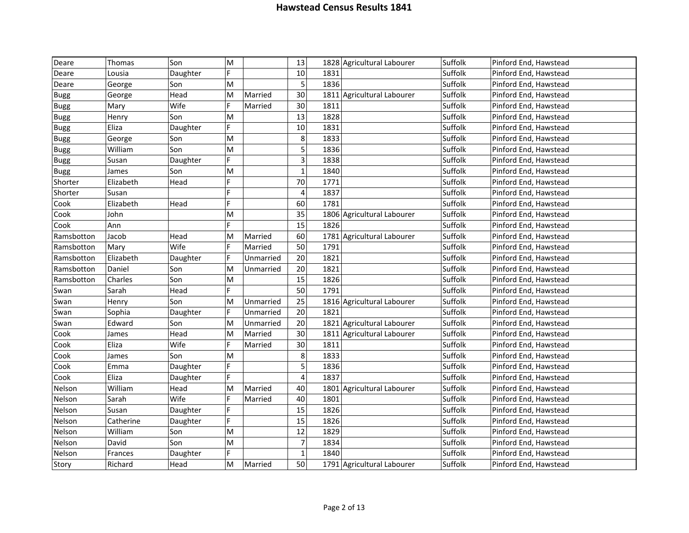| Deare       | Thomas    | Son      | M  |           | 13                      | 1828 Agricultural Labourer | Suffolk | Pinford End, Hawstead |
|-------------|-----------|----------|----|-----------|-------------------------|----------------------------|---------|-----------------------|
| Deare       | Lousia    | Daughter | F  |           | 10                      | 1831                       | Suffolk | Pinford End, Hawstead |
| Deare       | George    | Son      | M  |           | 5                       | 1836                       | Suffolk | Pinford End, Hawstead |
| <b>Bugg</b> | George    | Head     | M  | Married   | 30                      | 1811 Agricultural Labourer | Suffolk | Pinford End, Hawstead |
| <b>Bugg</b> | Mary      | Wife     | F. | Married   | 30                      | 1811                       | Suffolk | Pinford End, Hawstead |
| <b>Bugg</b> | Henry     | Son      | M  |           | 13                      | 1828                       | Suffolk | Pinford End, Hawstead |
| <b>Bugg</b> | Eliza     | Daughter | F  |           | 10                      | 1831                       | Suffolk | Pinford End, Hawstead |
| <b>Bugg</b> | George    | Son      | M  |           | 8                       | 1833                       | Suffolk | Pinford End, Hawstead |
| <b>Bugg</b> | William   | Son      | M  |           | 5                       | 1836                       | Suffolk | Pinford End, Hawstead |
| <b>Bugg</b> | Susan     | Daughter | Þ  |           | $\overline{\mathbf{3}}$ | 1838                       | Suffolk | Pinford End, Hawstead |
| <b>Bugg</b> | James     | Son      | M  |           | $\mathbf{1}$            | 1840                       | Suffolk | Pinford End, Hawstead |
| Shorter     | Elizabeth | Head     |    |           | 70                      | 1771                       | Suffolk | Pinford End, Hawstead |
| Shorter     | Susan     |          | F. |           | $\overline{4}$          | 1837                       | Suffolk | Pinford End, Hawstead |
| Cook        | Elizabeth | Head     | E. |           | 60                      | 1781                       | Suffolk | Pinford End, Hawstead |
| Cook        | John      |          | M  |           | 35                      | 1806 Agricultural Labourer | Suffolk | Pinford End, Hawstead |
| Cook        | Ann       |          | É  |           | 15                      | 1826                       | Suffolk | Pinford End, Hawstead |
| Ramsbotton  | Jacob     | Head     | M  | Married   | 60                      | 1781 Agricultural Labourer | Suffolk | Pinford End, Hawstead |
| Ramsbotton  | Mary      | Wife     | F  | Married   | 50                      | 1791                       | Suffolk | Pinford End, Hawstead |
| Ramsbotton  | Elizabeth | Daughter | F  | Unmarried | 20                      | 1821                       | Suffolk | Pinford End, Hawstead |
| Ramsbotton  | Daniel    | Son      | M  | Unmarried | 20                      | 1821                       | Suffolk | Pinford End, Hawstead |
| Ramsbotton  | Charles   | Son      | M  |           | 15                      | 1826                       | Suffolk | Pinford End, Hawstead |
| Swan        | Sarah     | Head     |    |           | 50                      | 1791                       | Suffolk | Pinford End, Hawstead |
| Swan        | Henry     | Son      | M  | Unmarried | 25                      | 1816 Agricultural Labourer | Suffolk | Pinford End, Hawstead |
| Swan        | Sophia    | Daughter | F  | Unmarried | 20                      | 1821                       | Suffolk | Pinford End, Hawstead |
| Swan        | Edward    | Son      | M  | Unmarried | 20                      | 1821 Agricultural Labourer | Suffolk | Pinford End, Hawstead |
| Cook        | James     | Head     | M  | Married   | 30                      | 1811 Agricultural Labourer | Suffolk | Pinford End, Hawstead |
| Cook        | Eliza     | Wife     | F  | Married   | 30                      | 1811                       | Suffolk | Pinford End, Hawstead |
| Cook        | James     | Son      | M  |           | 8                       | 1833                       | Suffolk | Pinford End, Hawstead |
| Cook        | Emma      | Daughter | F  |           | 5                       | 1836                       | Suffolk | Pinford End, Hawstead |
| Cook        | Eliza     | Daughter | F. |           | $\overline{\mathbf{4}}$ | 1837                       | Suffolk | Pinford End, Hawstead |
| Nelson      | William   | Head     | M  | Married   | 40                      | 1801 Agricultural Labourer | Suffolk | Pinford End, Hawstead |
| Nelson      | Sarah     | Wife     | F  | Married   | 40                      | 1801                       | Suffolk | Pinford End, Hawstead |
| Nelson      | Susan     | Daughter | F. |           | 15                      | 1826                       | Suffolk | Pinford End, Hawstead |
| Nelson      | Catherine | Daughter | F. |           | 15                      | 1826                       | Suffolk | Pinford End, Hawstead |
| Nelson      | William   | Son      | M  |           | 12                      | 1829                       | Suffolk | Pinford End, Hawstead |
| Nelson      | David     | Son      | M  |           | $\overline{7}$          | 1834                       | Suffolk | Pinford End, Hawstead |
| Nelson      | Frances   | Daughter | F  |           | $\mathbf 1$             | 1840                       | Suffolk | Pinford End, Hawstead |
| Story       | Richard   | Head     | M  | Married   | 50                      | 1791 Agricultural Labourer | Suffolk | Pinford End, Hawstead |
|             |           |          |    |           |                         |                            |         |                       |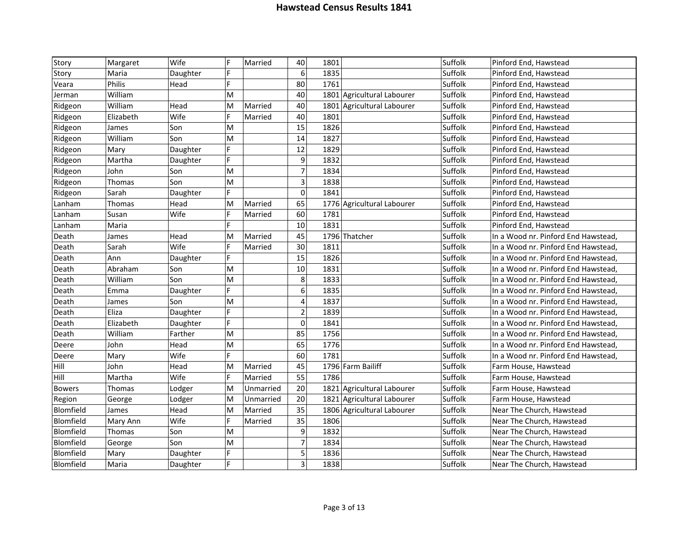| Story         | Margaret  | Wife     | F | Married   | 40                       | 1801 |                            | Suffolk | Pinford End, Hawstead               |
|---------------|-----------|----------|---|-----------|--------------------------|------|----------------------------|---------|-------------------------------------|
| Story         | Maria     | Daughter | F |           | 6                        | 1835 |                            | Suffolk | Pinford End, Hawstead               |
| Veara         | Philis    | Head     | F |           | 80                       | 1761 |                            | Suffolk | Pinford End, Hawstead               |
| Jerman        | William   |          | M |           | 40                       |      | 1801 Agricultural Labourer | Suffolk | Pinford End, Hawstead               |
| Ridgeon       | William   | Head     | M | Married   | 40                       |      | 1801 Agricultural Labourer | Suffolk | Pinford End, Hawstead               |
| Ridgeon       | Elizabeth | Wife     | F | Married   | 40                       | 1801 |                            | Suffolk | Pinford End, Hawstead               |
| Ridgeon       | James     | Son      | M |           | 15                       | 1826 |                            | Suffolk | Pinford End, Hawstead               |
| Ridgeon       | William   | Son      | M |           | 14                       | 1827 |                            | Suffolk | Pinford End, Hawstead               |
| Ridgeon       | Mary      | Daughter | F |           | 12                       | 1829 |                            | Suffolk | Pinford End, Hawstead               |
| Ridgeon       | Martha    | Daughter | F |           | 9                        | 1832 |                            | Suffolk | Pinford End, Hawstead               |
| Ridgeon       | John      | Son      | M |           | $\overline{\mathcal{I}}$ | 1834 |                            | Suffolk | Pinford End, Hawstead               |
| Ridgeon       | Thomas    | Son      | M |           | 3                        | 1838 |                            | Suffolk | Pinford End, Hawstead               |
| Ridgeon       | Sarah     | Daughter | F |           | $\mathbf 0$              | 1841 |                            | Suffolk | Pinford End, Hawstead               |
| Lanham        | Thomas    | Head     | M | Married   | 65                       |      | 1776 Agricultural Labourer | Suffolk | Pinford End, Hawstead               |
| Lanham        | Susan     | Wife     | F | Married   | 60                       | 1781 |                            | Suffolk | Pinford End, Hawstead               |
| Lanham        | Maria     |          | F |           | 10                       | 1831 |                            | Suffolk | Pinford End, Hawstead               |
| Death         | James     | Head     | M | Married   | 45                       |      | 1796 Thatcher              | Suffolk | In a Wood nr. Pinford End Hawstead, |
| Death         | Sarah     | Wife     | F | Married   | 30                       | 1811 |                            | Suffolk | In a Wood nr. Pinford End Hawstead, |
| Death         | Ann       | Daughter | F |           | 15                       | 1826 |                            | Suffolk | In a Wood nr. Pinford End Hawstead, |
| Death         | Abraham   | Son      | M |           | 10                       | 1831 |                            | Suffolk | In a Wood nr. Pinford End Hawstead, |
| Death         | William   | Son      | M |           | 8                        | 1833 |                            | Suffolk | In a Wood nr. Pinford End Hawstead, |
| Death         | Emma      | Daughter | F |           | $6\phantom{a}$           | 1835 |                            | Suffolk | In a Wood nr. Pinford End Hawstead, |
| Death         | James     | Son      | M |           | $\overline{\mathbf{4}}$  | 1837 |                            | Suffolk | In a Wood nr. Pinford End Hawstead, |
| Death         | Eliza     | Daughter | F |           | $\overline{2}$           | 1839 |                            | Suffolk | In a Wood nr. Pinford End Hawstead, |
| Death         | Elizabeth | Daughter | F |           | $\mathbf 0$              | 1841 |                            | Suffolk | In a Wood nr. Pinford End Hawstead, |
| Death         | William   | Farther  | M |           | 85                       | 1756 |                            | Suffolk | In a Wood nr. Pinford End Hawstead, |
| Deere         | John      | Head     | M |           | 65                       | 1776 |                            | Suffolk | In a Wood nr. Pinford End Hawstead, |
| Deere         | Mary      | Wife     | Þ |           | 60                       | 1781 |                            | Suffolk | In a Wood nr. Pinford End Hawstead, |
| Hill          | John      | Head     | M | Married   | 45                       |      | 1796 Farm Bailiff          | Suffolk | Farm House, Hawstead                |
| Hill          | Martha    | Wife     | F | Married   | 55                       | 1786 |                            | Suffolk | Farm House, Hawstead                |
| <b>Bowers</b> | Thomas    | Lodger   | M | Unmarried | 20                       |      | 1821 Agricultural Labourer | Suffolk | Farm House, Hawstead                |
| Region        | George    | Lodger   | M | Unmarried | 20                       |      | 1821 Agricultural Labourer | Suffolk | Farm House, Hawstead                |
| Blomfield     | James     | Head     | M | Married   | 35                       |      | 1806 Agricultural Labourer | Suffolk | Near The Church, Hawstead           |
| Blomfield     | Mary Ann  | Wife     | F | Married   | 35                       | 1806 |                            | Suffolk | Near The Church, Hawstead           |
| Blomfield     | Thomas    | Son      | M |           | 9                        | 1832 |                            | Suffolk | Near The Church, Hawstead           |
| Blomfield     | George    | Son      | M |           | $\overline{7}$           | 1834 |                            | Suffolk | Near The Church, Hawstead           |
| Blomfield     | Mary      | Daughter | F |           | 5                        | 1836 |                            | Suffolk | Near The Church, Hawstead           |
| Blomfield     | Maria     | Daughter | F |           | $\overline{3}$           | 1838 |                            | Suffolk | Near The Church, Hawstead           |
|               |           |          |   |           |                          |      |                            |         |                                     |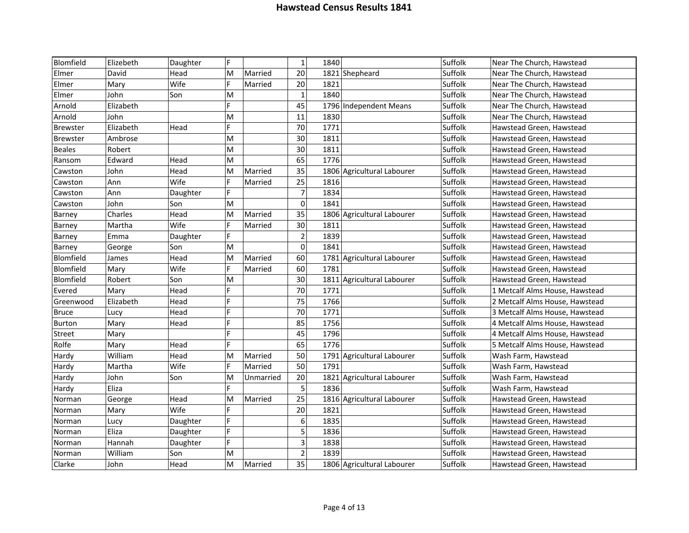| Blomfield       | Elizebeth | Daughter | F            |           | $\mathbf 1$             | 1840 |                            | Suffolk | Near The Church, Hawstead      |
|-----------------|-----------|----------|--------------|-----------|-------------------------|------|----------------------------|---------|--------------------------------|
| Elmer           | David     | Head     | M            | Married   | 20                      |      | 1821 Shepheard             | Suffolk | Near The Church, Hawstead      |
| Elmer           | Mary      | Wife     | F            | Married   | 20                      | 1821 |                            | Suffolk | Near The Church, Hawstead      |
| Elmer           | John      | Son      | M            |           | $\mathbf 1$             | 1840 |                            | Suffolk | Near The Church, Hawstead      |
| Arnold          | Elizabeth |          | F            |           | 45                      |      | 1796 Independent Means     | Suffolk | Near The Church, Hawstead      |
| Arnold          | John      |          | M            |           | 11                      | 1830 |                            | Suffolk | Near The Church, Hawstead      |
| <b>Brewster</b> | Elizabeth | Head     | F            |           | 70                      | 1771 |                            | Suffolk | Hawstead Green, Hawstead       |
| <b>Brewster</b> | Ambrose   |          | M            |           | 30                      | 1811 |                            | Suffolk | Hawstead Green, Hawstead       |
| <b>Beales</b>   | Robert    |          | M            |           | 30                      | 1811 |                            | Suffolk | Hawstead Green, Hawstead       |
| Ransom          | Edward    | Head     | M            |           | 65                      | 1776 |                            | Suffolk | Hawstead Green, Hawstead       |
| Cawston         | John      | Head     | M            | Married   | 35                      |      | 1806 Agricultural Labourer | Suffolk | Hawstead Green, Hawstead       |
| Cawston         | Ann       | Wife     | F            | Married   | 25                      | 1816 |                            | Suffolk | Hawstead Green, Hawstead       |
| Cawston         | Ann       | Daughter | F            |           | $\overline{7}$          | 1834 |                            | Suffolk | Hawstead Green, Hawstead       |
| Cawston         | John      | Son      | M            |           | $\mathbf 0$             | 1841 |                            | Suffolk | Hawstead Green, Hawstead       |
| Barney          | Charles   | Head     | M            | Married   | 35                      |      | 1806 Agricultural Labourer | Suffolk | Hawstead Green, Hawstead       |
| Barney          | Martha    | Wife     | F            | Married   | 30                      | 1811 |                            | Suffolk | Hawstead Green, Hawstead       |
| Barney          | Emma      | Daughter | F            |           | $\overline{2}$          | 1839 |                            | Suffolk | Hawstead Green, Hawstead       |
| Barney          | George    | Son      | M            |           | $\mathbf 0$             | 1841 |                            | Suffolk | Hawstead Green, Hawstead       |
| Blomfield       | James     | Head     | M            | Married   | 60                      |      | 1781 Agricultural Labourer | Suffolk | Hawstead Green, Hawstead       |
| Blomfield       | Mary      | Wife     | F            | Married   | 60                      | 1781 |                            | Suffolk | Hawstead Green, Hawstead       |
| Blomfield       | Robert    | Son      | M            |           | 30                      |      | 1811 Agricultural Labourer | Suffolk | Hawstead Green, Hawstead       |
| Evered          | Mary      | Head     | F            |           | 70                      | 1771 |                            | Suffolk | 1 Metcalf Alms House, Hawstead |
| Greenwood       | Elizabeth | Head     | F            |           | 75                      | 1766 |                            | Suffolk | 2 Metcalf Alms House, Hawstead |
| <b>Bruce</b>    | Lucy      | Head     | $\mathsf{F}$ |           | 70                      | 1771 |                            | Suffolk | 3 Metcalf Alms House, Hawstead |
| Burton          | Mary      | Head     | F            |           | 85                      | 1756 |                            | Suffolk | 4 Metcalf Alms House, Hawstead |
| Street          | Mary      |          | F            |           | 45                      | 1796 |                            | Suffolk | 4 Metcalf Alms House, Hawstead |
| Rolfe           | Mary      | Head     | F            |           | 65                      | 1776 |                            | Suffolk | 5 Metcalf Alms House, Hawstead |
| Hardy           | William   | Head     | M            | Married   | 50                      |      | 1791 Agricultural Labourer | Suffolk | Wash Farm, Hawstead            |
| Hardy           | Martha    | Wife     | F            | Married   | 50                      | 1791 |                            | Suffolk | Wash Farm, Hawstead            |
| Hardy           | John      | Son      | M            | Unmarried | 20                      |      | 1821 Agricultural Labourer | Suffolk | Wash Farm, Hawstead            |
| Hardy           | Eliza     |          | F.           |           | 5                       | 1836 |                            | Suffolk | Wash Farm, Hawstead            |
| Norman          | George    | Head     | M            | Married   | 25                      |      | 1816 Agricultural Labourer | Suffolk | Hawstead Green, Hawstead       |
| Norman          | Mary      | Wife     | F            |           | 20                      | 1821 |                            | Suffolk | Hawstead Green, Hawstead       |
| Norman          | Lucy      | Daughter | F            |           | 6                       | 1835 |                            | Suffolk | Hawstead Green, Hawstead       |
| Norman          | Eliza     | Daughter | F            |           | 5                       | 1836 |                            | Suffolk | Hawstead Green, Hawstead       |
| Norman          | Hannah    | Daughter | F            |           | $\overline{\mathbf{3}}$ | 1838 |                            | Suffolk | Hawstead Green, Hawstead       |
| Norman          | William   | Son      | M            |           | $\overline{2}$          | 1839 |                            | Suffolk | Hawstead Green, Hawstead       |
| Clarke          | John      | Head     | M            | Married   | 35                      |      | 1806 Agricultural Labourer | Suffolk | Hawstead Green, Hawstead       |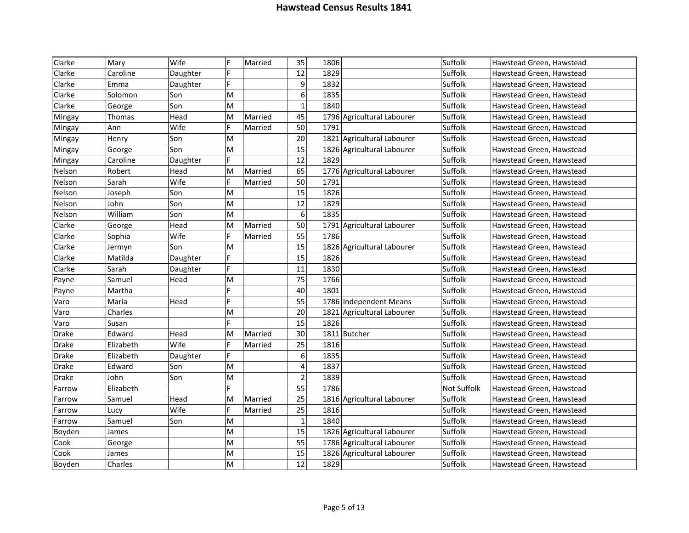| Clarke | Mary      | Wife     | F              | Married | 35                      | 1806 |                            | Suffolk     | Hawstead Green, Hawstead |
|--------|-----------|----------|----------------|---------|-------------------------|------|----------------------------|-------------|--------------------------|
| Clarke | Caroline  | Daughter | F              |         | 12                      | 1829 |                            | Suffolk     | Hawstead Green, Hawstead |
| Clarke | Emma      | Daughter | F              |         | $\boldsymbol{9}$        | 1832 |                            | Suffolk     | Hawstead Green, Hawstead |
| Clarke | Solomon   | Son      | M              |         | 6                       | 1835 |                            | Suffolk     | Hawstead Green, Hawstead |
| Clarke | George    | Son      | M              |         | $\mathbf{1}$            | 1840 |                            | Suffolk     | Hawstead Green, Hawstead |
| Mingay | Thomas    | Head     | M              | Married | 45                      |      | 1796 Agricultural Labourer | Suffolk     | Hawstead Green, Hawstead |
| Mingay | Ann       | Wife     | F              | Married | 50                      | 1791 |                            | Suffolk     | Hawstead Green, Hawstead |
| Mingay | Henry     | Son      | M              |         | 20                      |      | 1821 Agricultural Labourer | Suffolk     | Hawstead Green, Hawstead |
| Mingay | George    | Son      | M              |         | 15                      |      | 1826 Agricultural Labourer | Suffolk     | Hawstead Green, Hawstead |
| Mingay | Caroline  | Daughter | F              |         | 12                      | 1829 |                            | Suffolk     | Hawstead Green, Hawstead |
| Nelson | Robert    | Head     | M              | Married | 65                      |      | 1776 Agricultural Labourer | Suffolk     | Hawstead Green, Hawstead |
| Nelson | Sarah     | Wife     | F              | Married | 50                      | 1791 |                            | Suffolk     | Hawstead Green, Hawstead |
| Nelson | Joseph    | Son      | M              |         | 15                      | 1826 |                            | Suffolk     | Hawstead Green, Hawstead |
| Nelson | John      | Son      | M              |         | 12                      | 1829 |                            | Suffolk     | Hawstead Green, Hawstead |
| Nelson | William   | Son      | M              |         | 6                       | 1835 |                            | Suffolk     | Hawstead Green, Hawstead |
| Clarke | George    | Head     | M              | Married | 50                      |      | 1791 Agricultural Labourer | Suffolk     | Hawstead Green, Hawstead |
| Clarke | Sophia    | Wife     | F              | Married | 55                      | 1786 |                            | Suffolk     | Hawstead Green, Hawstead |
| Clarke | Jermyn    | Son      | M              |         | 15                      |      | 1826 Agricultural Labourer | Suffolk     | Hawstead Green, Hawstead |
| Clarke | Matilda   | Daughter | $\overline{F}$ |         | 15                      | 1826 |                            | Suffolk     | Hawstead Green, Hawstead |
| Clarke | Sarah     | Daughter | F              |         | 11                      | 1830 |                            | Suffolk     | Hawstead Green, Hawstead |
| Payne  | Samuel    | Head     | M              |         | 75                      | 1766 |                            | Suffolk     | Hawstead Green, Hawstead |
| Payne  | Martha    |          | F              |         | 40                      | 1801 |                            | Suffolk     | Hawstead Green, Hawstead |
| Varo   | Maria     | Head     | F              |         | 55                      |      | 1786 Independent Means     | Suffolk     | Hawstead Green, Hawstead |
| Varo   | Charles   |          | M              |         | 20                      |      | 1821 Agricultural Labourer | Suffolk     | Hawstead Green, Hawstead |
| Varo   | Susan     |          | F              |         | 15                      | 1826 |                            | Suffolk     | Hawstead Green, Hawstead |
| Drake  | Edward    | Head     | M              | Married | 30                      |      | 1811 Butcher               | Suffolk     | Hawstead Green, Hawstead |
| Drake  | Elizabeth | Wife     | F              | Married | 25                      | 1816 |                            | Suffolk     | Hawstead Green, Hawstead |
| Drake  | Elizabeth | Daughter | F              |         | 6                       | 1835 |                            | Suffolk     | Hawstead Green, Hawstead |
| Drake  | Edward    | Son      | M              |         | $\overline{\mathbf{4}}$ | 1837 |                            | Suffolk     | Hawstead Green, Hawstead |
| Drake  | John      | Son      | M              |         | $\overline{2}$          | 1839 |                            | Suffolk     | Hawstead Green, Hawstead |
| Farrow | Elizabeth |          | F              |         | $\overline{55}$         | 1786 |                            | Not Suffolk | Hawstead Green, Hawstead |
| Farrow | Samuel    | Head     | M              | Married | 25                      |      | 1816 Agricultural Labourer | Suffolk     | Hawstead Green, Hawstead |
| Farrow | Lucv      | Wife     | F              | Married | 25                      | 1816 |                            | Suffolk     | Hawstead Green, Hawstead |
| Farrow | Samuel    | Son      | M              |         | $\mathbf 1$             | 1840 |                            | Suffolk     | Hawstead Green, Hawstead |
| Boyden | James     |          | M              |         | 15                      |      | 1826 Agricultural Labourer | Suffolk     | Hawstead Green, Hawstead |
| Cook   | George    |          | M              |         | 55                      |      | 1786 Agricultural Labourer | Suffolk     | Hawstead Green, Hawstead |
| Cook   | James     |          | M              |         | 15                      |      | 1826 Agricultural Labourer | Suffolk     | Hawstead Green, Hawstead |
| Boyden | Charles   |          | M              |         | 12                      | 1829 |                            | Suffolk     | Hawstead Green, Hawstead |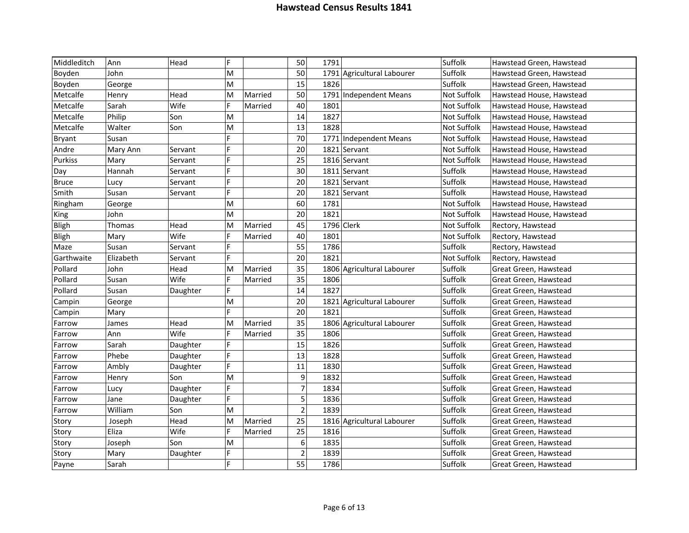| Middleditch  | Ann       | Head     | F |         | 50               | 1791 |                            | Suffolk     | Hawstead Green, Hawstead |
|--------------|-----------|----------|---|---------|------------------|------|----------------------------|-------------|--------------------------|
| Boyden       | John      |          | M |         | 50               |      | 1791 Agricultural Labourer | Suffolk     | Hawstead Green, Hawstead |
| Boyden       | George    |          | M |         | 15               | 1826 |                            | Suffolk     | Hawstead Green, Hawstead |
| Metcalfe     | Henry     | Head     | M | Married | 50               |      | 1791 Independent Means     | Not Suffolk | Hawstead House, Hawstead |
| Metcalfe     | Sarah     | Wife     | F | Married | 40               | 1801 |                            | Not Suffolk | Hawstead House, Hawstead |
| Metcalfe     | Philip    | Son      | M |         | 14               | 1827 |                            | Not Suffolk | Hawstead House, Hawstead |
| Metcalfe     | Walter    | Son      | M |         | 13               | 1828 |                            | Not Suffolk | Hawstead House, Hawstead |
| Bryant       | Susan     |          | F |         | 70               |      | 1771 Independent Means     | Not Suffolk | Hawstead House, Hawstead |
| Andre        | Mary Ann  | Servant  | F |         | 20               |      | 1821 Servant               | Not Suffolk | Hawstead House, Hawstead |
| Purkiss      | Mary      | Servant  | F |         | 25               |      | 1816 Servant               | Not Suffolk | Hawstead House, Hawstead |
| Day          | Hannah    | Servant  | F |         | 30               |      | 1811 Servant               | Suffolk     | Hawstead House, Hawstead |
| <b>Bruce</b> | Lucy      | Servant  | F |         | 20               |      | 1821 Servant               | Suffolk     | Hawstead House, Hawstead |
| Smith        | Susan     | Servant  | F |         | 20               |      | 1821 Servant               | Suffolk     | Hawstead House, Hawstead |
| Ringham      | George    |          | M |         | 60               | 1781 |                            | Not Suffolk | Hawstead House, Hawstead |
| King         | John      |          | M |         | 20               | 1821 |                            | Not Suffolk | Hawstead House, Hawstead |
| <b>Bligh</b> | Thomas    | Head     | M | Married | 45               |      | 1796 Clerk                 | Not Suffolk | Rectory, Hawstead        |
| <b>Bligh</b> | Mary      | Wife     | F | Married | 40               | 1801 |                            | Not Suffolk | Rectory, Hawstead        |
| Maze         | Susan     | Servant  | F |         | 55               | 1786 |                            | Suffolk     | Rectory, Hawstead        |
| Garthwaite   | Elizabeth | Servant  | F |         | 20               | 1821 |                            | Not Suffolk | Rectory, Hawstead        |
| Pollard      | John      | Head     | M | Married | 35               |      | 1806 Agricultural Labourer | Suffolk     | Great Green, Hawstead    |
| Pollard      | Susan     | Wife     | F | Married | 35               | 1806 |                            | Suffolk     | Great Green, Hawstead    |
| Pollard      | Susan     | Daughter | F |         | 14               | 1827 |                            | Suffolk     | Great Green, Hawstead    |
| Campin       | George    |          | M |         | 20               |      | 1821 Agricultural Labourer | Suffolk     | Great Green, Hawstead    |
| Campin       | Mary      |          | F |         | 20               | 1821 |                            | Suffolk     | Great Green, Hawstead    |
| Farrow       | James     | Head     | M | Married | 35               |      | 1806 Agricultural Labourer | Suffolk     | Great Green, Hawstead    |
| Farrow       | Ann       | Wife     | F | Married | 35               | 1806 |                            | Suffolk     | Great Green, Hawstead    |
| Farrow       | Sarah     | Daughter | F |         | 15               | 1826 |                            | Suffolk     | Great Green, Hawstead    |
| Farrow       | Phebe     | Daughter | F |         | 13               | 1828 |                            | Suffolk     | Great Green, Hawstead    |
| Farrow       | Ambly     | Daughter | F |         | 11               | 1830 |                            | Suffolk     | Great Green, Hawstead    |
| Farrow       | Henry     | Son      | M |         | 9                | 1832 |                            | Suffolk     | Great Green, Hawstead    |
| Farrow       | Lucy      | Daughter | F |         | $\overline{7}$   | 1834 |                            | Suffolk     | Great Green, Hawstead    |
| Farrow       | Jane      | Daughter | F |         | 5                | 1836 |                            | Suffolk     | Great Green, Hawstead    |
| Farrow       | William   | Son      | M |         | $\overline{2}$   | 1839 |                            | Suffolk     | Great Green, Hawstead    |
| Story        | Joseph    | Head     | M | Married | 25               |      | 1816 Agricultural Labourer | Suffolk     | Great Green, Hawstead    |
| Story        | Eliza     | Wife     | F | Married | 25               | 1816 |                            | Suffolk     | Great Green, Hawstead    |
| Story        | Joseph    | Son      | M |         | $\boldsymbol{6}$ | 1835 |                            | Suffolk     | Great Green, Hawstead    |
| Story        | Mary      | Daughter | F |         | $\overline{2}$   | 1839 |                            | Suffolk     | Great Green, Hawstead    |
| Payne        | Sarah     |          | F |         | 55               | 1786 |                            | Suffolk     | Great Green, Hawstead    |
|              |           |          |   |         |                  |      |                            |             |                          |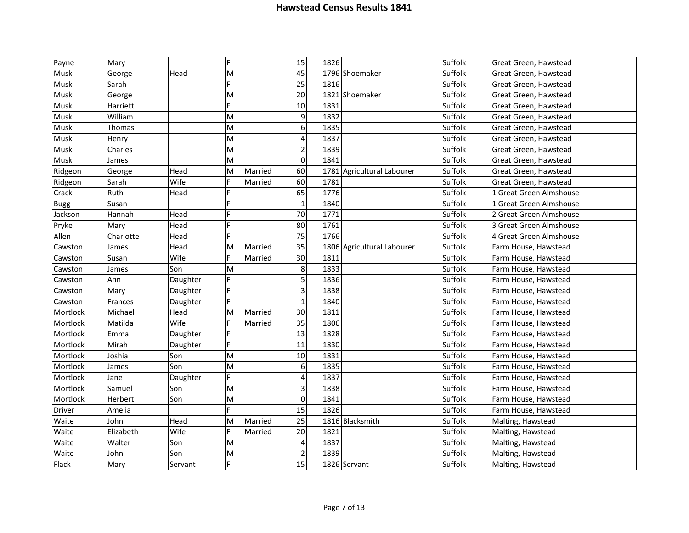| Payne       | Mary      |          | E |         | 15               | 1826                       | Suffolk | Great Green, Hawstead   |
|-------------|-----------|----------|---|---------|------------------|----------------------------|---------|-------------------------|
| Musk        | George    | Head     | M |         | 45               | 1796 Shoemaker             | Suffolk | Great Green, Hawstead   |
| Musk        | Sarah     |          | E |         | 25               | 1816                       | Suffolk | Great Green, Hawstead   |
| Musk        | George    |          | M |         | 20               | 1821 Shoemaker             | Suffolk | Great Green, Hawstead   |
| Musk        | Harriett  |          | F |         | 10               | 1831                       | Suffolk | Great Green, Hawstead   |
| Musk        | William   |          | M |         | 9                | 1832                       | Suffolk | Great Green, Hawstead   |
| Musk        | Thomas    |          | M |         | $\boldsymbol{6}$ | 1835                       | Suffolk | Great Green, Hawstead   |
| Musk        | Henry     |          | M |         | $\overline{4}$   | 1837                       | Suffolk | Great Green, Hawstead   |
| Musk        | Charles   |          | M |         | $\overline{2}$   | 1839                       | Suffolk | Great Green, Hawstead   |
| Musk        | James     |          | M |         | $\mathbf 0$      | 1841                       | Suffolk | Great Green, Hawstead   |
| Ridgeon     | George    | Head     | M | Married | 60               | 1781 Agricultural Labourer | Suffolk | Great Green, Hawstead   |
| Ridgeon     | Sarah     | Wife     | F | Married | 60               | 1781                       | Suffolk | Great Green, Hawstead   |
| Crack       | Ruth      | Head     | F |         | 65               | 1776                       | Suffolk | 1 Great Green Almshouse |
| <b>Bugg</b> | Susan     |          | F |         | $\mathbf{1}$     | 1840                       | Suffolk | 1 Great Green Almshouse |
| Jackson     | Hannah    | Head     | Þ |         | 70               | 1771                       | Suffolk | 2 Great Green Almshouse |
| Pryke       | Mary      | Head     | F |         | 80               | 1761                       | Suffolk | 3 Great Green Almshouse |
| Allen       | Charlotte | Head     | F |         | 75               | 1766                       | Suffolk | 4 Great Green Almshouse |
| Cawston     | James     | Head     | M | Married | 35               | 1806 Agricultural Labourer | Suffolk | Farm House, Hawstead    |
| Cawston     | Susan     | Wife     | F | Married | 30               | 1811                       | Suffolk | Farm House, Hawstead    |
| Cawston     | James     | Son      | M |         | 8                | 1833                       | Suffolk | Farm House, Hawstead    |
| Cawston     | Ann       | Daughter | F |         | 5                | 1836                       | Suffolk | Farm House, Hawstead    |
| Cawston     | Mary      | Daughter | F |         | $\overline{3}$   | 1838                       | Suffolk | Farm House, Hawstead    |
| Cawston     | Frances   | Daughter | F |         | $\mathbf{1}$     | 1840                       | Suffolk | Farm House, Hawstead    |
| Mortlock    | Michael   | Head     | M | Married | 30               | 1811                       | Suffolk | Farm House, Hawstead    |
| Mortlock    | Matilda   | Wife     |   | Married | 35               | 1806                       | Suffolk | Farm House, Hawstead    |
| Mortlock    | Emma      | Daughter | F |         | 13               | 1828                       | Suffolk | Farm House, Hawstead    |
| Mortlock    | Mirah     | Daughter | F |         | 11               | 1830                       | Suffolk | Farm House, Hawstead    |
| Mortlock    | Joshia    | Son      | M |         | 10               | 1831                       | Suffolk | Farm House, Hawstead    |
| Mortlock    | James     | Son      | M |         | 6                | 1835                       | Suffolk | Farm House, Hawstead    |
| Mortlock    | Jane      | Daughter | F |         | 4                | 1837                       | Suffolk | Farm House, Hawstead    |
| Mortlock    | Samuel    | Son      | M |         | 3                | 1838                       | Suffolk | Farm House, Hawstead    |
| Mortlock    | Herbert   | Son      | M |         | $\mathbf 0$      | 1841                       | Suffolk | Farm House, Hawstead    |
| Driver      | Amelia    |          | E |         | 15               | 1826                       | Suffolk | Farm House, Hawstead    |
| Waite       | John      | Head     | M | Married | 25               | 1816 Blacksmith            | Suffolk | Malting, Hawstead       |
| Waite       | Elizabeth | Wife     | F | Married | 20               | 1821                       | Suffolk | Malting, Hawstead       |
| Waite       | Walter    | Son      | M |         | $\overline{4}$   | 1837                       | Suffolk | Malting, Hawstead       |
| Waite       | John      | Son      | M |         | $\mathbf 2$      | 1839                       | Suffolk | Malting, Hawstead       |
| Flack       | Mary      | Servant  | F |         | 15               | 1826 Servant               | Suffolk | Malting, Hawstead       |
|             |           |          |   |         |                  |                            |         |                         |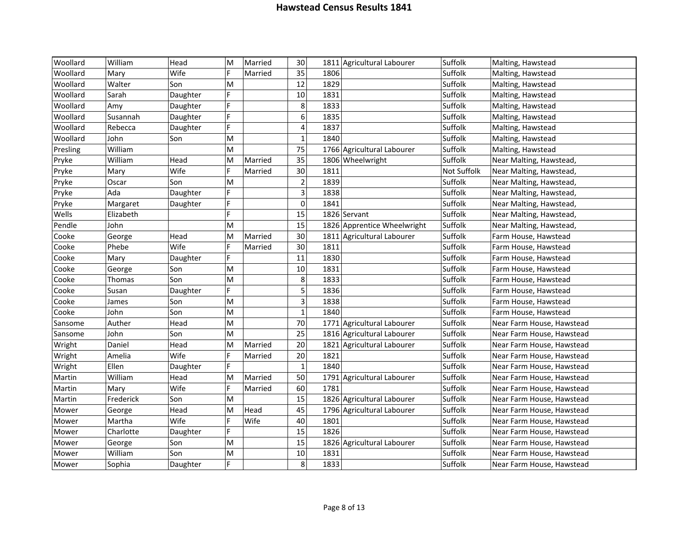| Woollard | William   | Head     | M  | Married | 30                       | 1811 Agricultural Labourer  | Suffolk     | Malting, Hawstead         |
|----------|-----------|----------|----|---------|--------------------------|-----------------------------|-------------|---------------------------|
| Woollard | Mary      | Wife     | F  | Married | 35                       | 1806                        | Suffolk     | Malting, Hawstead         |
| Woollard | Walter    | Son      | M  |         | 12                       | 1829                        | Suffolk     | Malting, Hawstead         |
| Woollard | Sarah     | Daughter | F  |         | 10                       | 1831                        | Suffolk     | Malting, Hawstead         |
| Woollard | Amy       | Daughter | F  |         | 8                        | 1833                        | Suffolk     | Malting, Hawstead         |
| Woollard | Susannah  | Daughter | F  |         | $6\phantom{a}$           | 1835                        | Suffolk     | Malting, Hawstead         |
| Woollard | Rebecca   | Daughter | F  |         | $\overline{\mathcal{L}}$ | 1837                        | Suffolk     | Malting, Hawstead         |
| Woollard | John      | Son      | M  |         | $\mathbf{1}$             | 1840                        | Suffolk     | Malting, Hawstead         |
| Presling | William   |          | M  |         | 75                       | 1766 Agricultural Labourer  | Suffolk     | Malting, Hawstead         |
| Pryke    | William   | Head     | M  | Married | 35                       | 1806 Wheelwright            | Suffolk     | Near Malting, Hawstead,   |
| Pryke    | Mary      | Wife     | F  | Married | 30                       | 1811                        | Not Suffolk | Near Malting, Hawstead,   |
| Pryke    | Oscar     | Son      | M  |         | $\overline{2}$           | 1839                        | Suffolk     | Near Malting, Hawstead,   |
| Pryke    | Ada       | Daughter | F  |         | $\overline{3}$           | 1838                        | Suffolk     | Near Malting, Hawstead,   |
| Pryke    | Margaret  | Daughter | F  |         | $\mathbf 0$              | 1841                        | Suffolk     | Near Malting, Hawstead    |
| Wells    | Elizabeth |          | Þ  |         | 15                       | 1826 Servant                | Suffolk     | Near Malting, Hawstead    |
| Pendle   | John      |          | M  |         | 15                       | 1826 Apprentice Wheelwright | Suffolk     | Near Malting, Hawstead,   |
| Cooke    | George    | Head     | M  | Married | 30                       | 1811 Agricultural Labourer  | Suffolk     | Farm House, Hawstead      |
| Cooke    | Phebe     | Wife     | F  | Married | 30                       | 1811                        | Suffolk     | Farm House, Hawstead      |
| Cooke    | Mary      | Daughter | F  |         | 11                       | 1830                        | Suffolk     | Farm House, Hawstead      |
| Cooke    | George    | Son      | M  |         | 10                       | 1831                        | Suffolk     | Farm House, Hawstead      |
| Cooke    | Thomas    | Son      | M  |         | 8                        | 1833                        | Suffolk     | Farm House, Hawstead      |
| Cooke    | Susan     | Daughter | F  |         | $\overline{\mathbf{5}}$  | 1836                        | Suffolk     | Farm House, Hawstead      |
| Cooke    | James     | Son      | M  |         | $\overline{\mathbf{3}}$  | 1838                        | Suffolk     | Farm House, Hawstead      |
| Cooke    | John      | Son      | M  |         | $\mathbf{1}$             | 1840                        | Suffolk     | Farm House, Hawstead      |
| Sansome  | Auther    | Head     | M  |         | 70                       | 1771 Agricultural Labourer  | Suffolk     | Near Farm House, Hawstead |
| Sansome  | John      | Son      | M  |         | 25                       | 1816 Agricultural Labourer  | Suffolk     | Near Farm House, Hawstead |
| Wright   | Daniel    | Head     | M  | Married | 20                       | 1821 Agricultural Labourer  | Suffolk     | Near Farm House, Hawstead |
| Wright   | Amelia    | Wife     | F  | Married | 20                       | 1821                        | Suffolk     | Near Farm House, Hawstead |
| Wright   | Ellen     | Daughter | F  |         | $\mathbf{1}$             | 1840                        | Suffolk     | Near Farm House, Hawstead |
| Martin   | William   | Head     | M  | Married | 50                       | 1791 Agricultural Labourer  | Suffolk     | Near Farm House, Hawstead |
| Martin   | Mary      | Wife     | F  | Married | 60                       | 1781                        | Suffolk     | Near Farm House, Hawstead |
| Martin   | Frederick | Son      | M  |         | 15                       | 1826 Agricultural Labourer  | Suffolk     | Near Farm House, Hawstead |
| Mower    | George    | Head     | M  | Head    | 45                       | 1796 Agricultural Labourer  | Suffolk     | Near Farm House, Hawstead |
| Mower    | Martha    | Wife     | E  | Wife    | 40                       | 1801                        | Suffolk     | Near Farm House, Hawstead |
| Mower    | Charlotte | Daughter | F  |         | 15                       | 1826                        | Suffolk     | Near Farm House, Hawstead |
| Mower    | George    | Son      | M  |         | 15                       | 1826 Agricultural Labourer  | Suffolk     | Near Farm House, Hawstead |
| Mower    | William   | Son      | M  |         | 10                       | 1831                        | Suffolk     | Near Farm House, Hawstead |
| Mower    | Sophia    | Daughter | F. |         | 8                        | 1833                        | Suffolk     | Near Farm House, Hawstead |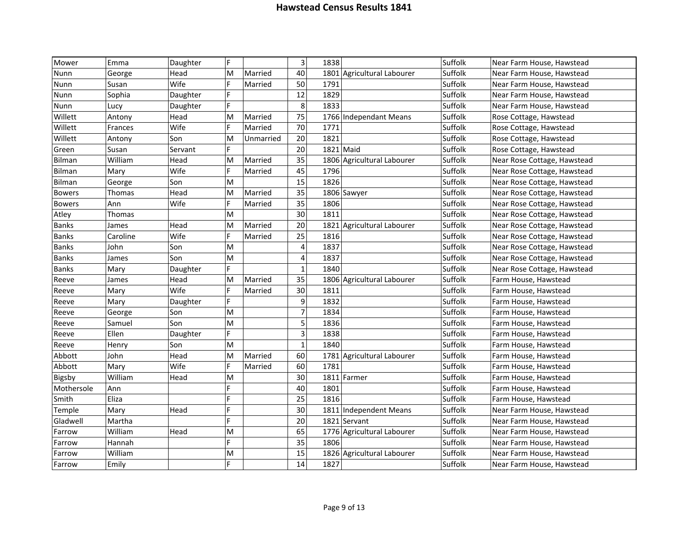| Mower         | Emma     | Daughter | F |           | $\overline{\mathbf{3}}$ | 1838        |                            | Suffolk | Near Farm House, Hawstead   |
|---------------|----------|----------|---|-----------|-------------------------|-------------|----------------------------|---------|-----------------------------|
| Nunn          | George   | Head     | M | Married   | 40                      |             | 1801 Agricultural Labourer | Suffolk | Near Farm House, Hawstead   |
| Nunn          | Susan    | Wife     | F | Married   | 50                      | 1791        |                            | Suffolk | Near Farm House, Hawstead   |
| Nunn          | Sophia   | Daughter | F |           | 12                      | 1829        |                            | Suffolk | Near Farm House, Hawstead   |
| Nunn          | Lucy     | Daughter | F |           | 8                       | 1833        |                            | Suffolk | Near Farm House, Hawstead   |
| Willett       | Antony   | Head     | M | Married   | 75                      |             | 1766 Independant Means     | Suffolk | Rose Cottage, Hawstead      |
| Willett       | Frances  | Wife     | F | Married   | 70                      | 1771        |                            | Suffolk | Rose Cottage, Hawstead      |
| Willett       | Antony   | Son      | M | Unmarried | 20                      | 1821        |                            | Suffolk | Rose Cottage, Hawstead      |
| Green         | Susan    | Servant  | F |           | 20                      | $1821$ Maid |                            | Suffolk | Rose Cottage, Hawstead      |
| Bilman        | William  | Head     | M | Married   | 35                      |             | 1806 Agricultural Labourer | Suffolk | Near Rose Cottage, Hawstead |
| Bilman        | Mary     | Wife     | F | Married   | 45                      | 1796        |                            | Suffolk | Near Rose Cottage, Hawstead |
| <b>Bilman</b> | George   | Son      | M |           | 15                      | 1826        |                            | Suffolk | Near Rose Cottage, Hawstead |
| <b>Bowers</b> | Thomas   | Head     | M | Married   | 35                      |             | 1806 Sawyer                | Suffolk | Near Rose Cottage, Hawstead |
| <b>Bowers</b> | Ann      | Wife     | F | Married   | 35                      | 1806        |                            | Suffolk | Near Rose Cottage, Hawstead |
| Atley         | Thomas   |          | M |           | 30                      | 1811        |                            | Suffolk | Near Rose Cottage, Hawstead |
| <b>Banks</b>  | James    | Head     | M | Married   | 20                      |             | 1821 Agricultural Labourer | Suffolk | Near Rose Cottage, Hawstead |
| <b>Banks</b>  | Caroline | Wife     | F | Married   | 25                      | 1816        |                            | Suffolk | Near Rose Cottage, Hawstead |
| <b>Banks</b>  | John     | Son      | M |           | 4                       | 1837        |                            | Suffolk | Near Rose Cottage, Hawstead |
| <b>Banks</b>  | James    | Son      | M |           | $\overline{\mathbf{4}}$ | 1837        |                            | Suffolk | Near Rose Cottage, Hawstead |
| <b>Banks</b>  | Mary     | Daughter | F |           | $\mathbf 1$             | 1840        |                            | Suffolk | Near Rose Cottage, Hawstead |
| Reeve         | James    | Head     | M | Married   | 35                      |             | 1806 Agricultural Labourer | Suffolk | Farm House, Hawstead        |
| Reeve         | Mary     | Wife     | F | Married   | 30                      | 1811        |                            | Suffolk | Farm House, Hawstead        |
| Reeve         | Mary     | Daughter | F |           | 9                       | 1832        |                            | Suffolk | Farm House, Hawstead        |
| Reeve         | George   | Son      | M |           | $\overline{7}$          | 1834        |                            | Suffolk | Farm House, Hawstead        |
| Reeve         | Samuel   | Son      | M |           | 5                       | 1836        |                            | Suffolk | Farm House, Hawstead        |
| Reeve         | Ellen    | Daughter | F |           | $\overline{3}$          | 1838        |                            | Suffolk | Farm House, Hawstead        |
| Reeve         | Henry    | Son      | M |           | $\mathbf{1}$            | 1840        |                            | Suffolk | Farm House, Hawstead        |
| Abbott        | John     | Head     | M | Married   | 60                      |             | 1781 Agricultural Labourer | Suffolk | Farm House, Hawstead        |
| Abbott        | Mary     | Wife     | E | Married   | 60                      | 1781        |                            | Suffolk | Farm House, Hawstead        |
| Bigsby        | William  | Head     | M |           | 30                      |             | 1811 Farmer                | Suffolk | Farm House, Hawstead        |
| Mothersole    | Ann      |          | F |           | 40                      | 1801        |                            | Suffolk | Farm House, Hawstead        |
| Smith         | Eliza    |          | F |           | 25                      | 1816        |                            | Suffolk | Farm House, Hawstead        |
| Temple        | Mary     | Head     | F |           | 30                      |             | 1811 Independent Means     | Suffolk | Near Farm House, Hawstead   |
| Gladwell      | Martha   |          | Þ |           | 20                      |             | 1821 Servant               | Suffolk | Near Farm House, Hawstead   |
| Farrow        | William  | Head     | M |           | 65                      |             | 1776 Agricultural Labourer | Suffolk | Near Farm House, Hawstead   |
| Farrow        | Hannah   |          | F |           | 35                      | 1806        |                            | Suffolk | Near Farm House, Hawstead   |
| Farrow        | William  |          | M |           | 15                      |             | 1826 Agricultural Labourer | Suffolk | Near Farm House, Hawstead   |
| Farrow        | Emily    |          | Þ |           | 14                      | 1827        |                            | Suffolk | Near Farm House, Hawstead   |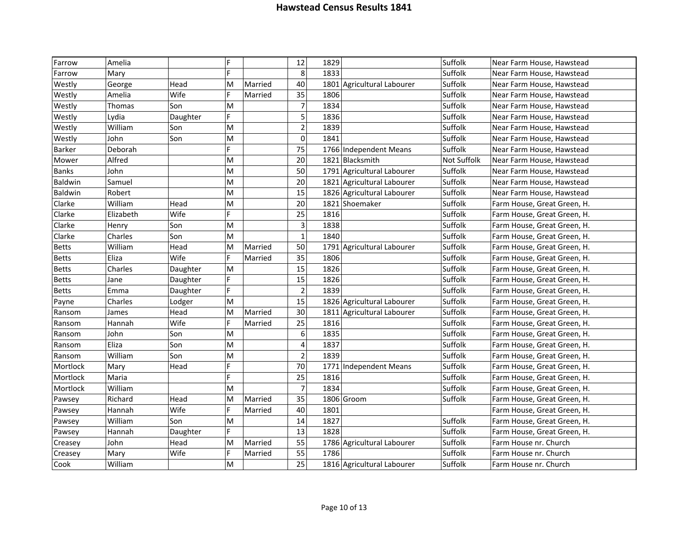| Farrow       | Amelia    |          | F              |         | 12                      | 1829 |                            | Suffolk     | Near Farm House, Hawstead   |
|--------------|-----------|----------|----------------|---------|-------------------------|------|----------------------------|-------------|-----------------------------|
| Farrow       | Mary      |          | F              |         | 8                       | 1833 |                            | Suffolk     | Near Farm House, Hawstead   |
| Westly       | George    | Head     | M              | Married | 40                      |      | 1801 Agricultural Labourer | Suffolk     | Near Farm House, Hawstead   |
| Westly       | Amelia    | Wife     | F              | Married | 35                      | 1806 |                            | Suffolk     | Near Farm House, Hawstead   |
| Westly       | Thomas    | Son      | M              |         | $\overline{7}$          | 1834 |                            | Suffolk     | Near Farm House, Hawstead   |
| Westly       | Lydia     | Daughter | F              |         | $\overline{5}$          | 1836 |                            | Suffolk     | Near Farm House, Hawstead   |
| Westly       | William   | Son      | M              |         | $\overline{2}$          | 1839 |                            | Suffolk     | Near Farm House, Hawstead   |
| Westly       | John      | Son      | M              |         | $\mathbf 0$             | 1841 |                            | Suffolk     | Near Farm House, Hawstead   |
| Barker       | Deborah   |          | F              |         | $\overline{75}$         |      | 1766 Independent Means     | Suffolk     | Near Farm House, Hawstead   |
| Mower        | Alfred    |          | M              |         | 20                      |      | 1821 Blacksmith            | Not Suffolk | Near Farm House, Hawstead   |
| <b>Banks</b> | John      |          | M              |         | 50                      |      | 1791 Agricultural Labourer | Suffolk     | Near Farm House, Hawstead   |
| Baldwin      | Samuel    |          | M              |         | 20                      |      | 1821 Agricultural Labourer | Suffolk     | Near Farm House, Hawstead   |
| Baldwin      | Robert    |          | M              |         | 15                      |      | 1826 Agricultural Labourer | Suffolk     | Near Farm House, Hawstead   |
| Clarke       | William   | Head     | M              |         | 20                      |      | 1821 Shoemaker             | Suffolk     | Farm House, Great Green, H. |
| Clarke       | Elizabeth | Wife     | F              |         | 25                      | 1816 |                            | Suffolk     | Farm House, Great Green, H. |
| Clarke       | Henry     | Son      | M              |         | 3                       | 1838 |                            | Suffolk     | Farm House, Great Green, H. |
| Clarke       | Charles   | Son      | M              |         | $\mathbf{1}$            | 1840 |                            | Suffolk     | Farm House, Great Green, H. |
| <b>Betts</b> | William   | Head     | M              | Married | 50                      |      | 1791 Agricultural Labourer | Suffolk     | Farm House, Great Green, H. |
| <b>Betts</b> | Eliza     | Wife     | F              | Married | 35                      | 1806 |                            | Suffolk     | Farm House, Great Green, H. |
| <b>Betts</b> | Charles   | Daughter | M              |         | 15                      | 1826 |                            | Suffolk     | Farm House, Great Green, H. |
| <b>Betts</b> | Jane      | Daughter | F              |         | 15                      | 1826 |                            | Suffolk     | Farm House, Great Green, H. |
| <b>Betts</b> | Emma      | Daughter | F              |         | $\overline{2}$          | 1839 |                            | Suffolk     | Farm House, Great Green, H. |
| Payne        | Charles   | Lodger   | M              |         | 15                      |      | 1826 Agricultural Labourer | Suffolk     | Farm House, Great Green, H. |
| Ransom       | James     | Head     | M              | Married | 30                      |      | 1811 Agricultural Labourer | Suffolk     | Farm House, Great Green, H. |
| Ransom       | Hannah    | Wife     | F              | Married | 25                      | 1816 |                            | Suffolk     | Farm House, Great Green, H. |
| Ransom       | John      | Son      | M              |         | $\boldsymbol{6}$        | 1835 |                            | Suffolk     | Farm House, Great Green, H. |
| Ransom       | Eliza     | Son      | M              |         | $\overline{\mathbf{4}}$ | 1837 |                            | Suffolk     | Farm House, Great Green, H. |
| Ransom       | William   | Son      | M              |         | $\overline{2}$          | 1839 |                            | Suffolk     | Farm House, Great Green, H. |
| Mortlock     | Mary      | Head     | F              |         | 70                      |      | 1771 Independent Means     | Suffolk     | Farm House, Great Green, H. |
| Mortlock     | Maria     |          | F              |         | 25                      | 1816 |                            | Suffolk     | Farm House, Great Green, H. |
| Mortlock     | William   |          | M              |         | $\overline{7}$          | 1834 |                            | Suffolk     | Farm House, Great Green, H. |
| Pawsey       | Richard   | Head     | M              | Married | 35                      |      | 1806 Groom                 | Suffolk     | Farm House, Great Green, H. |
| Pawsey       | Hannah    | Wife     | F              | Married | 40                      | 1801 |                            |             | Farm House, Great Green, H. |
| Pawsey       | William   | Son      | M              |         | 14                      | 1827 |                            | Suffolk     | Farm House, Great Green, H. |
| Pawsey       | Hannah    | Daughter | $\mathsf F$    |         | 13                      | 1828 |                            | Suffolk     | Farm House, Great Green, H. |
| Creasey      | John      | Head     | M              | Married | 55                      |      | 1786 Agricultural Labourer | Suffolk     | Farm House nr. Church       |
| Creasey      | Mary      | Wife     | $\overline{F}$ | Married | 55                      | 1786 |                            | Suffolk     | Farm House nr. Church       |
| Cook         | William   |          | M              |         | 25                      |      | 1816 Agricultural Labourer | Suffolk     | Farm House nr. Church       |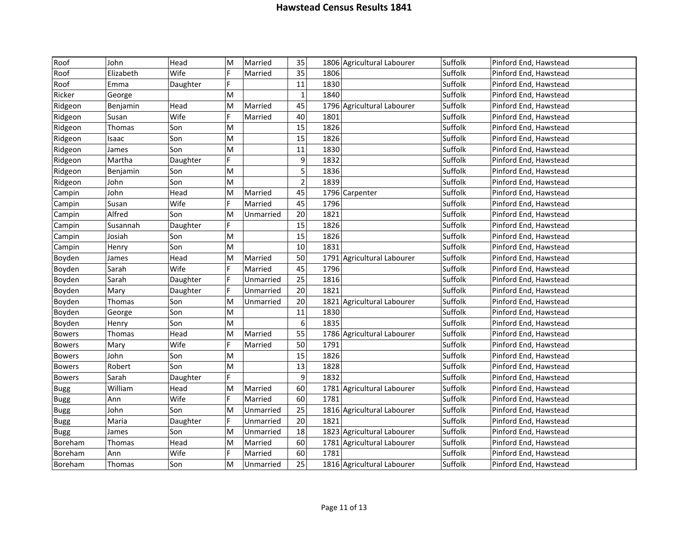| Roof          | John          | Head     | M | Married   | 35             | 1806 Agricultural Labourer | Suffolk | Pinford End, Hawstead |
|---------------|---------------|----------|---|-----------|----------------|----------------------------|---------|-----------------------|
| Roof          | Elizabeth     | Wife     | Þ | Married   | 35             | 1806                       | Suffolk | Pinford End, Hawstead |
| Roof          | Emma          | Daughter | F |           | 11             | 1830                       | Suffolk | Pinford End, Hawstead |
| Ricker        | George        |          | M |           | $\mathbf{1}$   | 1840                       | Suffolk | Pinford End, Hawstead |
| Ridgeon       | Benjamin      | Head     | M | Married   | 45             | 1796 Agricultural Labourer | Suffolk | Pinford End, Hawstead |
| Ridgeon       | Susan         | Wife     | F | Married   | 40             | 1801                       | Suffolk | Pinford End, Hawstead |
| Ridgeon       | Thomas        | Son      | M |           | 15             | 1826                       | Suffolk | Pinford End, Hawstead |
| Ridgeon       | Isaac         | Son      | M |           | 15             | 1826                       | Suffolk | Pinford End, Hawstead |
| Ridgeon       | James         | Son      | M |           | 11             | 1830                       | Suffolk | Pinford End, Hawstead |
| Ridgeon       | Martha        | Daughter | F |           | 9              | 1832                       | Suffolk | Pinford End, Hawstead |
| Ridgeon       | Benjamin      | Son      | M |           | 5              | 1836                       | Suffolk | Pinford End, Hawstead |
| Ridgeon       | John          | Son      | M |           | $\overline{2}$ | 1839                       | Suffolk | Pinford End, Hawstead |
| Campin        | John          | Head     | M | Married   | 45             | 1796 Carpenter             | Suffolk | Pinford End, Hawstead |
| Campin        | Susan         | Wife     | F | Married   | 45             | 1796                       | Suffolk | Pinford End, Hawstead |
| Campin        | Alfred        | Son      | M | Unmarried | 20             | 1821                       | Suffolk | Pinford End, Hawstead |
| Campin        | Susannah      | Daughter | F |           | 15             | 1826                       | Suffolk | Pinford End, Hawstead |
| Campin        | Josiah        | Son      | M |           | 15             | 1826                       | Suffolk | Pinford End, Hawstead |
| Campin        | Henry         | Son      | M |           | 10             | 1831                       | Suffolk | Pinford End, Hawstead |
| Boyden        | James         | Head     | M | Married   | 50             | 1791 Agricultural Labourer | Suffolk | Pinford End, Hawstead |
| Boyden        | Sarah         | Wife     | F | Married   | 45             | 1796                       | Suffolk | Pinford End, Hawstead |
| Boyden        | Sarah         | Daughter | F | Unmarried | 25             | 1816                       | Suffolk | Pinford End, Hawstead |
| Boyden        | Mary          | Daughter | F | Unmarried | 20             | 1821                       | Suffolk | Pinford End, Hawstead |
| Boyden        | Thomas        | Son      | M | Unmarried | 20             | 1821 Agricultural Labourer | Suffolk | Pinford End, Hawstead |
| Boyden        | George        | Son      | M |           | 11             | 1830                       | Suffolk | Pinford End, Hawstead |
| Boyden        | Henry         | Son      | M |           | $\sqrt{6}$     | 1835                       | Suffolk | Pinford End, Hawstead |
| <b>Bowers</b> | Thomas        | Head     | M | Married   | 55             | 1786 Agricultural Labourer | Suffolk | Pinford End, Hawstead |
| <b>Bowers</b> | Mary          | Wife     | F | Married   | 50             | 1791                       | Suffolk | Pinford End, Hawstead |
| <b>Bowers</b> | John          | Son      | M |           | 15             | 1826                       | Suffolk | Pinford End, Hawstead |
| <b>Bowers</b> | Robert        | Son      | M |           | 13             | 1828                       | Suffolk | Pinford End, Hawstead |
| <b>Bowers</b> | Sarah         | Daughter | F |           | 9              | 1832                       | Suffolk | Pinford End, Hawstead |
| <b>Bugg</b>   | William       | Head     | M | Married   | 60             | 1781 Agricultural Labourer | Suffolk | Pinford End, Hawstead |
| <b>Bugg</b>   | Ann           | Wife     | F | Married   | 60             | 1781                       | Suffolk | Pinford End, Hawstead |
| <b>Bugg</b>   | John          | Son      | M | Unmarried | 25             | 1816 Agricultural Labourer | Suffolk | Pinford End, Hawstead |
| <b>Bugg</b>   | Maria         | Daughter | F | Unmarried | 20             | 1821                       | Suffolk | Pinford End, Hawstead |
| <b>Bugg</b>   | James         | Son      | M | Unmarried | 18             | 1823 Agricultural Labourer | Suffolk | Pinford End, Hawstead |
| Boreham       | Thomas        | Head     | M | Married   | 60             | 1781 Agricultural Labourer | Suffolk | Pinford End, Hawstead |
| Boreham       | Ann           | Wife     |   | Married   | 60             | 1781                       | Suffolk | Pinford End, Hawstead |
| Boreham       | <b>Thomas</b> | Son      | M | Unmarried | 25             | 1816 Agricultural Labourer | Suffolk | Pinford End, Hawstead |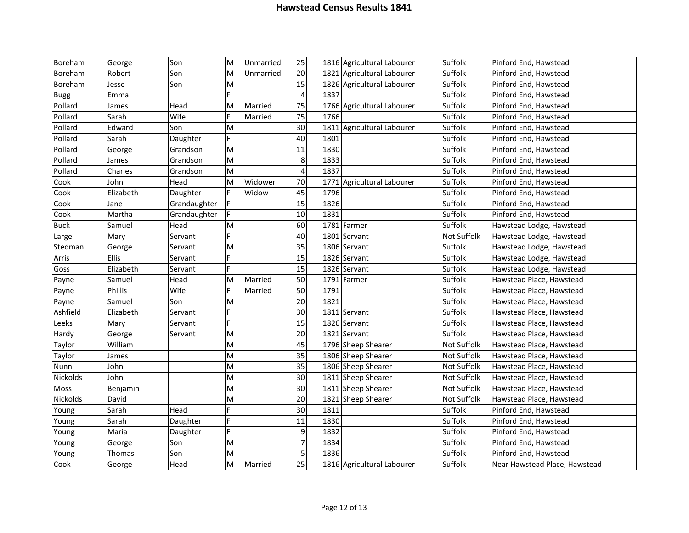| Boreham     | George    | Son          | M           | Unmarried | 25                      | 1816 Agricultural Labourer | Suffolk     | Pinford End, Hawstead         |
|-------------|-----------|--------------|-------------|-----------|-------------------------|----------------------------|-------------|-------------------------------|
| Boreham     | Robert    | Son          | M           | Unmarried | 20                      | 1821 Agricultural Labourer | Suffolk     | Pinford End, Hawstead         |
| Boreham     | Jesse     | Son          | M           |           | 15                      | 1826 Agricultural Labourer | Suffolk     | Pinford End, Hawstead         |
| <b>Bugg</b> | Emma      |              | F           |           | $\overline{\mathbf{4}}$ | 1837                       | Suffolk     | Pinford End, Hawstead         |
| Pollard     | James     | Head         | M           | Married   | 75                      | 1766 Agricultural Labourer | Suffolk     | Pinford End, Hawstead         |
| Pollard     | Sarah     | Wife         | F           | Married   | 75                      | 1766                       | Suffolk     | Pinford End, Hawstead         |
| Pollard     | Edward    | Son          | M           |           | 30                      | 1811 Agricultural Labourer | Suffolk     | Pinford End, Hawstead         |
| Pollard     | Sarah     | Daughter     | F           |           | 40                      | 1801                       | Suffolk     | Pinford End, Hawstead         |
| Pollard     | George    | Grandson     | M           |           | 11                      | 1830                       | Suffolk     | Pinford End, Hawstead         |
| Pollard     | James     | Grandson     | M           |           | 8                       | 1833                       | Suffolk     | Pinford End, Hawstead         |
| Pollard     | Charles   | Grandson     | M           |           | $\overline{4}$          | 1837                       | Suffolk     | Pinford End, Hawstead         |
| Cook        | John      | Head         | M           | Widower   | 70                      | 1771 Agricultural Labourer | Suffolk     | Pinford End, Hawstead         |
| Cook        | Elizabeth | Daughter     | F.          | Widow     | 45                      | 1796                       | Suffolk     | Pinford End, Hawstead         |
| Cook        | Jane      | Grandaughter | F           |           | 15                      | 1826                       | Suffolk     | Pinford End, Hawstead         |
| Cook        | Martha    | Grandaughter | F           |           | 10                      | 1831                       | Suffolk     | Pinford End, Hawstead         |
| <b>Buck</b> | Samuel    | Head         | M           |           | 60                      | 1781 Farmer                | Suffolk     | Hawstead Lodge, Hawstead      |
| Large       | Mary      | Servant      | F           |           | 40                      | 1801 Servant               | Not Suffolk | Hawstead Lodge, Hawstead      |
| Stedman     | George    | Servant      | M           |           | 35                      | 1806 Servant               | Suffolk     | Hawstead Lodge, Hawstead      |
| Arris       | Ellis     | Servant      | F           |           | 15                      | 1826 Servant               | Suffolk     | Hawstead Lodge, Hawstead      |
| Goss        | Elizabeth | Servant      | F           |           | 15                      | 1826 Servant               | Suffolk     | Hawstead Lodge, Hawstead      |
| Payne       | Samuel    | Head         | M           | Married   | 50                      | 1791 Farmer                | Suffolk     | Hawstead Place, Hawstead      |
| Payne       | Phillis   | Wife         | F           | Married   | 50                      | 1791                       | Suffolk     | Hawstead Place, Hawstead      |
| Payne       | Samuel    | Son          | M           |           | 20                      | 1821                       | Suffolk     | Hawstead Place, Hawstead      |
| Ashfield    | Elizabeth | Servant      | F           |           | 30                      | 1811 Servant               | Suffolk     | Hawstead Place, Hawstead      |
| Leeks       | Mary      | Servant      | F           |           | 15                      | 1826 Servant               | Suffolk     | Hawstead Place, Hawstead      |
| Hardy       | George    | Servant      | M           |           | 20                      | 1821 Servant               | Suffolk     | Hawstead Place, Hawstead      |
| Taylor      | William   |              | M           |           | 45                      | 1796 Sheep Shearer         | Not Suffolk | Hawstead Place, Hawstead      |
| Taylor      | James     |              | M           |           | 35                      | 1806 Sheep Shearer         | Not Suffolk | Hawstead Place, Hawstead      |
| Nunn        | John      |              | M           |           | 35                      | 1806 Sheep Shearer         | Not Suffolk | Hawstead Place, Hawstead      |
| Nickolds    | John      |              | M           |           | 30                      | 1811 Sheep Shearer         | Not Suffolk | Hawstead Place, Hawstead      |
| Moss        | Benjamin  |              | M           |           | 30                      | 1811 Sheep Shearer         | Not Suffolk | Hawstead Place, Hawstead      |
| Nickolds    | David     |              | M           |           | 20                      | 1821 Sheep Shearer         | Not Suffolk | Hawstead Place, Hawstead      |
| Young       | Sarah     | Head         | F           |           | 30                      | 1811                       | Suffolk     | Pinford End, Hawstead         |
| Young       | Sarah     | Daughter     | F           |           | 11                      | 1830                       | Suffolk     | Pinford End, Hawstead         |
| Young       | Maria     | Daughter     | $\mathsf F$ |           | 9                       | 1832                       | Suffolk     | Pinford End, Hawstead         |
| Young       | George    | Son          | M           |           | $\overline{7}$          | 1834                       | Suffolk     | Pinford End, Hawstead         |
| Young       | Thomas    | Son          | M           |           | 5                       | 1836                       | Suffolk     | Pinford End, Hawstead         |
| Cook        | George    | Head         | M           | Married   | 25                      | 1816 Agricultural Labourer | Suffolk     | Near Hawstead Place, Hawstead |